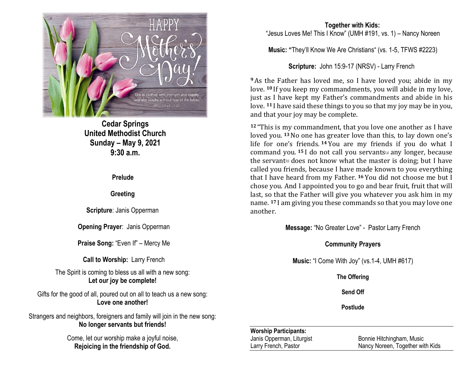

**Cedar Springs United Methodist Church Sunday – May 9, 2021 9:30 a.m.**

**Prelude**

## **Greeting**

**Scripture**: Janis Opperman

**Opening Prayer**: Janis Opperman

**Praise Song:** "Even If" – Mercy Me

**Call to Worship:** Larry French

The Spirit is coming to bless us all with a new song: **Let our joy be complete!**

Gifts for the good of all, poured out on all to teach us a new song: **Love one another!**

Strangers and neighbors, foreigners and family will join in the new song: **No longer servants but friends!**

> Come, let our worship make a joyful noise, **Rejoicing in the friendship of God.**

### **Together with Kids:** "Jesus Loves Me! This I Know" (UMH #191, vs. 1) – Nancy Noreen

**Music: "**They'll Know We Are Christians" (vs. 1-5, TFWS #2223)

**Scripture:** John 15:9-17 (NRSV) - Larry French

**<sup>9</sup>**As the Father has loved me, so I have loved you; abide in my love. **<sup>10</sup>** If you keep my commandments, you will abide in my love, just as I have kept my Father's commandments and abide in his love. **<sup>11</sup>** I have said these things to you so that my joy may be in you, and that your joy may be complete.

**<sup>12</sup>** "This is my commandment, that you love one another as I have loved you. **<sup>13</sup>**No one has greater love than this, to lay down one's life for one's friends. **<sup>14</sup>** You are my friends if you do what I command you. **<sup>15</sup>** I do not call you servants[\[a\]](https://www.biblegateway.com/passage/?search=John+15%3A9-17&version=NRSV#fen-NRSV-26704a) any longer, because the servant  $\phi$  does not know what the master is doing; but I have called you friends, because I have made known to you everything that I have heard from my Father. **<sup>16</sup>** You did not choose me but I chose you. And I appointed you to go and bear fruit, fruit that will last, so that the Father will give you whatever you ask him in my name. **<sup>17</sup>** I am giving you these commands so that you may love one another.

**Message:** "No Greater Love" - Pastor Larry French

## **Community Prayers**

**Music:** "I Come With Joy" (vs.1-4, UMH #617)

**The Offering**

**Send Off**

**Postlude**

### **Worship Participants:**

Janis Opperman, Liturgist Bonnie Hitchingham, Music Larry French, Pastor Nancy Noreen, Together with Kids